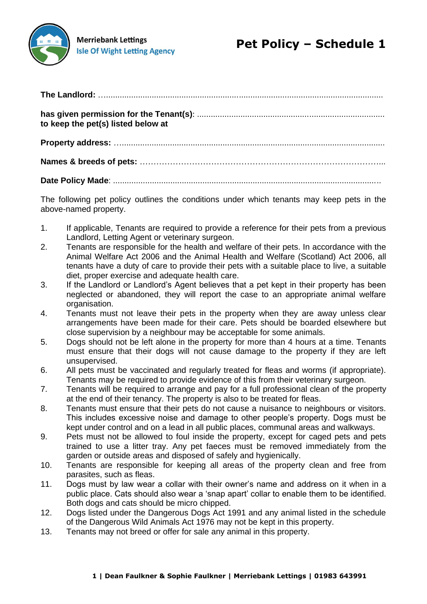

**Merriebank Lettings Isle Of Wight Letting Agency** 

| to keep the pet(s) listed below at |  |
|------------------------------------|--|
|                                    |  |
|                                    |  |
|                                    |  |

The following pet policy outlines the conditions under which tenants may keep pets in the

above-named property.

- 1. If applicable, Tenants are required to provide a reference for their pets from a previous Landlord, Letting Agent or veterinary surgeon.
- 2. Tenants are responsible for the health and welfare of their pets. In accordance with the Animal Welfare Act 2006 and the Animal Health and Welfare (Scotland) Act 2006, all tenants have a duty of care to provide their pets with a suitable place to live, a suitable diet, proper exercise and adequate health care.
- 3. If the Landlord or Landlord's Agent believes that a pet kept in their property has been neglected or abandoned, they will report the case to an appropriate animal welfare organisation.
- 4. Tenants must not leave their pets in the property when they are away unless clear arrangements have been made for their care. Pets should be boarded elsewhere but close supervision by a neighbour may be acceptable for some animals.
- 5. Dogs should not be left alone in the property for more than 4 hours at a time. Tenants must ensure that their dogs will not cause damage to the property if they are left unsupervised.
- 6. All pets must be vaccinated and regularly treated for fleas and worms (if appropriate). Tenants may be required to provide evidence of this from their veterinary surgeon.
- 7. Tenants will be required to arrange and pay for a full professional clean of the property at the end of their tenancy. The property is also to be treated for fleas.
- 8. Tenants must ensure that their pets do not cause a nuisance to neighbours or visitors. This includes excessive noise and damage to other people's property. Dogs must be kept under control and on a lead in all public places, communal areas and walkways.
- 9. Pets must not be allowed to foul inside the property, except for caged pets and pets trained to use a litter tray. Any pet faeces must be removed immediately from the garden or outside areas and disposed of safely and hygienically.
- 10. Tenants are responsible for keeping all areas of the property clean and free from parasites, such as fleas.
- 11. Dogs must by law wear a collar with their owner's name and address on it when in a public place. Cats should also wear a 'snap apart' collar to enable them to be identified. Both dogs and cats should be micro chipped.
- 12. Dogs listed under the Dangerous Dogs Act 1991 and any animal listed in the schedule of the Dangerous Wild Animals Act 1976 may not be kept in this property.
- 13. Tenants may not breed or offer for sale any animal in this property.